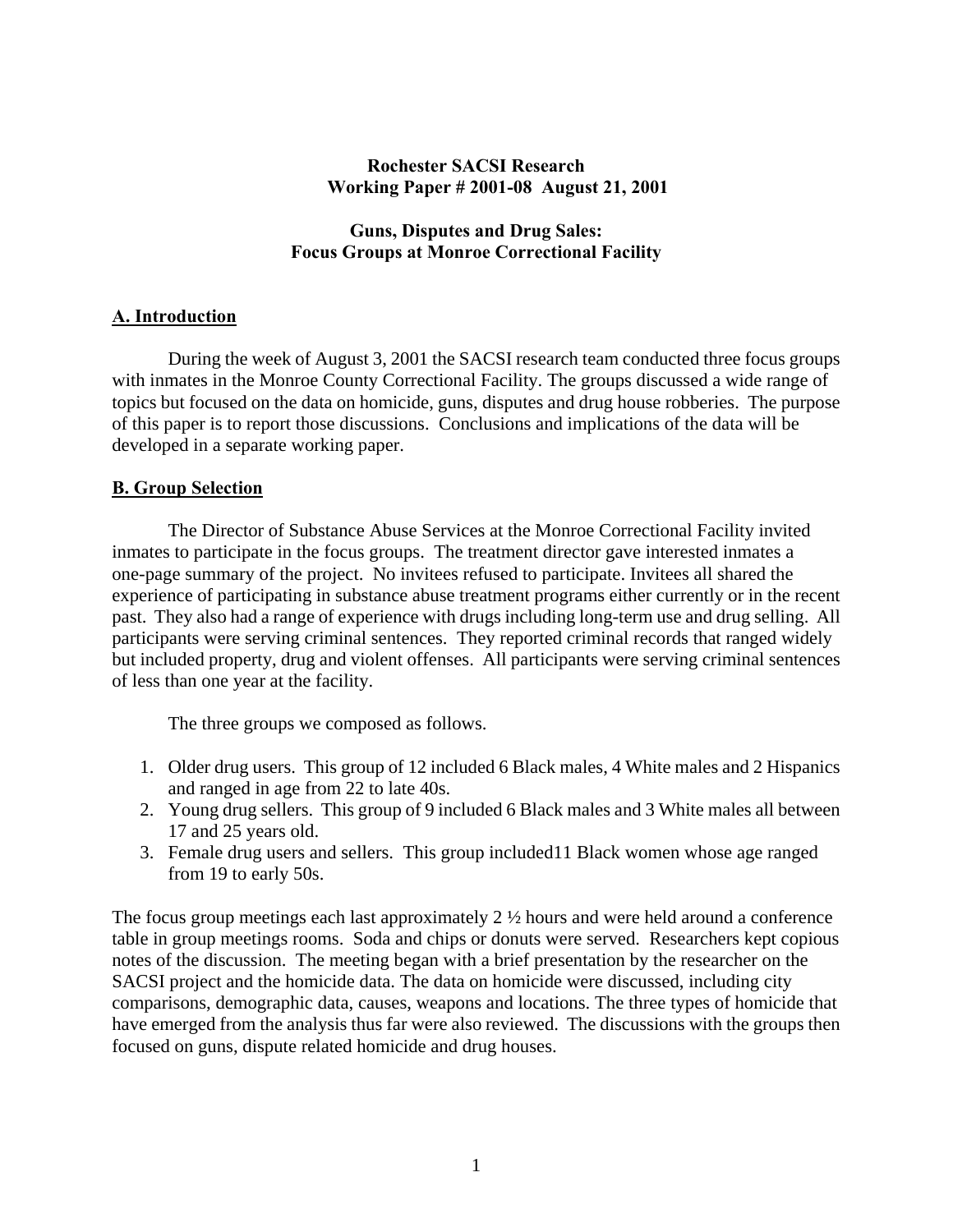#### **Rochester SACSI Research Working Paper # 2001-08 August 21, 2001**

## **Guns, Disputes and Drug Sales: Focus Groups at Monroe Correctional Facility**

# **A. Introduction**

 During the week of August 3, 2001 the SACSI research team conducted three focus groups with inmates in the Monroe County Correctional Facility. The groups discussed a wide range of topics but focused on the data on homicide, guns, disputes and drug house robberies. The purpose of this paper is to report those discussions. Conclusions and implications of the data will be developed in a separate working paper.

## **B. Group Selection**

 The Director of Substance Abuse Services at the Monroe Correctional Facility invited inmates to participate in the focus groups. The treatment director gave interested inmates a one-page summary of the project. No invitees refused to participate. Invitees all shared the experience of participating in substance abuse treatment programs either currently or in the recent past. They also had a range of experience with drugs including long-term use and drug selling. All participants were serving criminal sentences. They reported criminal records that ranged widely but included property, drug and violent offenses. All participants were serving criminal sentences of less than one year at the facility.

The three groups we composed as follows.

- 1. Older drug users. This group of 12 included 6 Black males, 4 White males and 2 Hispanics and ranged in age from 22 to late 40s.
- 2. Young drug sellers. This group of 9 included 6 Black males and 3 White males all between 17 and 25 years old.
- 3. Female drug users and sellers. This group included11 Black women whose age ranged from 19 to early 50s.

The focus group meetings each last approximately 2 ½ hours and were held around a conference table in group meetings rooms. Soda and chips or donuts were served. Researchers kept copious notes of the discussion. The meeting began with a brief presentation by the researcher on the SACSI project and the homicide data. The data on homicide were discussed, including city comparisons, demographic data, causes, weapons and locations. The three types of homicide that have emerged from the analysis thus far were also reviewed. The discussions with the groups then focused on guns, dispute related homicide and drug houses.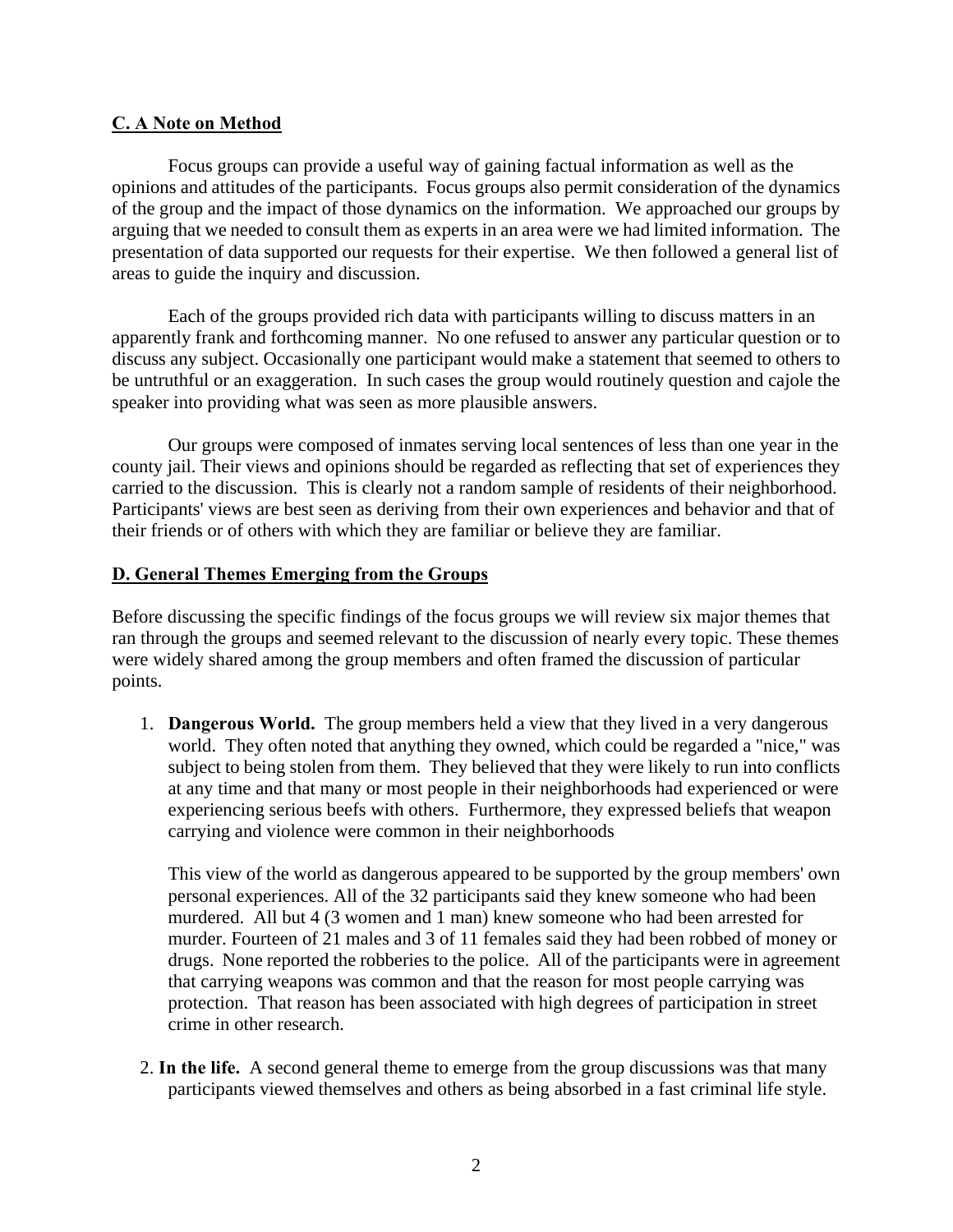## **C. A Note on Method**

 Focus groups can provide a useful way of gaining factual information as well as the opinions and attitudes of the participants. Focus groups also permit consideration of the dynamics of the group and the impact of those dynamics on the information. We approached our groups by arguing that we needed to consult them as experts in an area were we had limited information. The presentation of data supported our requests for their expertise. We then followed a general list of areas to guide the inquiry and discussion.

 Each of the groups provided rich data with participants willing to discuss matters in an apparently frank and forthcoming manner. No one refused to answer any particular question or to discuss any subject. Occasionally one participant would make a statement that seemed to others to be untruthful or an exaggeration. In such cases the group would routinely question and cajole the speaker into providing what was seen as more plausible answers.

 Our groups were composed of inmates serving local sentences of less than one year in the county jail. Their views and opinions should be regarded as reflecting that set of experiences they carried to the discussion. This is clearly not a random sample of residents of their neighborhood. Participants' views are best seen as deriving from their own experiences and behavior and that of their friends or of others with which they are familiar or believe they are familiar.

## **D. General Themes Emerging from the Groups**

Before discussing the specific findings of the focus groups we will review six major themes that ran through the groups and seemed relevant to the discussion of nearly every topic. These themes were widely shared among the group members and often framed the discussion of particular points.

1. **Dangerous World.** The group members held a view that they lived in a very dangerous world. They often noted that anything they owned, which could be regarded a "nice," was subject to being stolen from them. They believed that they were likely to run into conflicts at any time and that many or most people in their neighborhoods had experienced or were experiencing serious beefs with others. Furthermore, they expressed beliefs that weapon carrying and violence were common in their neighborhoods

This view of the world as dangerous appeared to be supported by the group members' own personal experiences. All of the 32 participants said they knew someone who had been murdered. All but 4 (3 women and 1 man) knew someone who had been arrested for murder. Fourteen of 21 males and 3 of 11 females said they had been robbed of money or drugs. None reported the robberies to the police. All of the participants were in agreement that carrying weapons was common and that the reason for most people carrying was protection. That reason has been associated with high degrees of participation in street crime in other research.

2. **In the life.** A second general theme to emerge from the group discussions was that many participants viewed themselves and others as being absorbed in a fast criminal life style.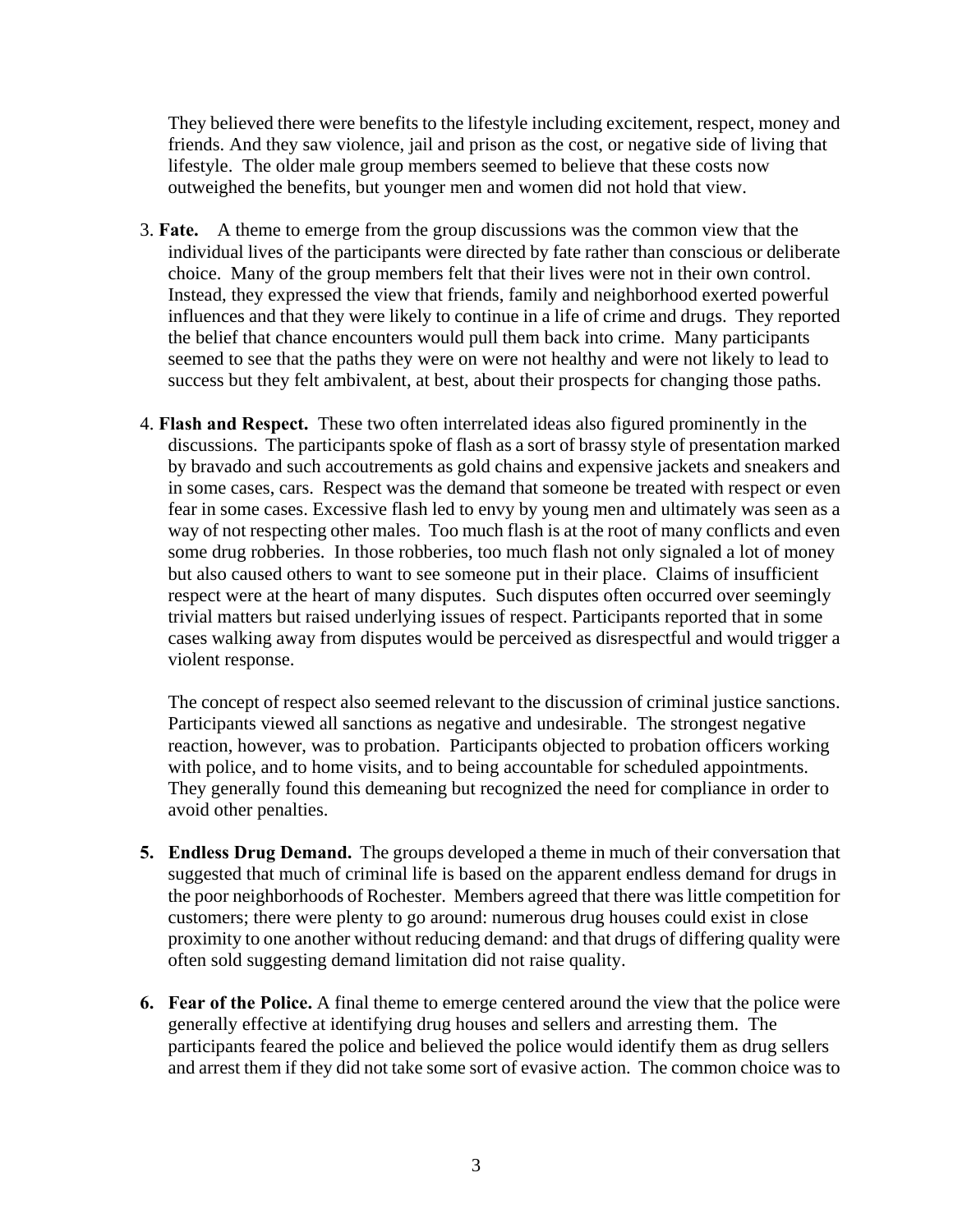They believed there were benefits to the lifestyle including excitement, respect, money and friends. And they saw violence, jail and prison as the cost, or negative side of living that lifestyle. The older male group members seemed to believe that these costs now outweighed the benefits, but younger men and women did not hold that view.

- 3. **Fate.** A theme to emerge from the group discussions was the common view that the individual lives of the participants were directed by fate rather than conscious or deliberate choice. Many of the group members felt that their lives were not in their own control. Instead, they expressed the view that friends, family and neighborhood exerted powerful influences and that they were likely to continue in a life of crime and drugs. They reported the belief that chance encounters would pull them back into crime. Many participants seemed to see that the paths they were on were not healthy and were not likely to lead to success but they felt ambivalent, at best, about their prospects for changing those paths.
- 4. **Flash and Respect.** These two often interrelated ideas also figured prominently in the discussions. The participants spoke of flash as a sort of brassy style of presentation marked by bravado and such accoutrements as gold chains and expensive jackets and sneakers and in some cases, cars. Respect was the demand that someone be treated with respect or even fear in some cases. Excessive flash led to envy by young men and ultimately was seen as a way of not respecting other males. Too much flash is at the root of many conflicts and even some drug robberies. In those robberies, too much flash not only signaled a lot of money but also caused others to want to see someone put in their place. Claims of insufficient respect were at the heart of many disputes. Such disputes often occurred over seemingly trivial matters but raised underlying issues of respect. Participants reported that in some cases walking away from disputes would be perceived as disrespectful and would trigger a violent response.

The concept of respect also seemed relevant to the discussion of criminal justice sanctions. Participants viewed all sanctions as negative and undesirable. The strongest negative reaction, however, was to probation. Participants objected to probation officers working with police, and to home visits, and to being accountable for scheduled appointments. They generally found this demeaning but recognized the need for compliance in order to avoid other penalties.

- **5. Endless Drug Demand.** The groups developed a theme in much of their conversation that suggested that much of criminal life is based on the apparent endless demand for drugs in the poor neighborhoods of Rochester. Members agreed that there was little competition for customers; there were plenty to go around: numerous drug houses could exist in close proximity to one another without reducing demand: and that drugs of differing quality were often sold suggesting demand limitation did not raise quality.
- **6. Fear of the Police.** A final theme to emerge centered around the view that the police were generally effective at identifying drug houses and sellers and arresting them. The participants feared the police and believed the police would identify them as drug sellers and arrest them if they did not take some sort of evasive action. The common choice was to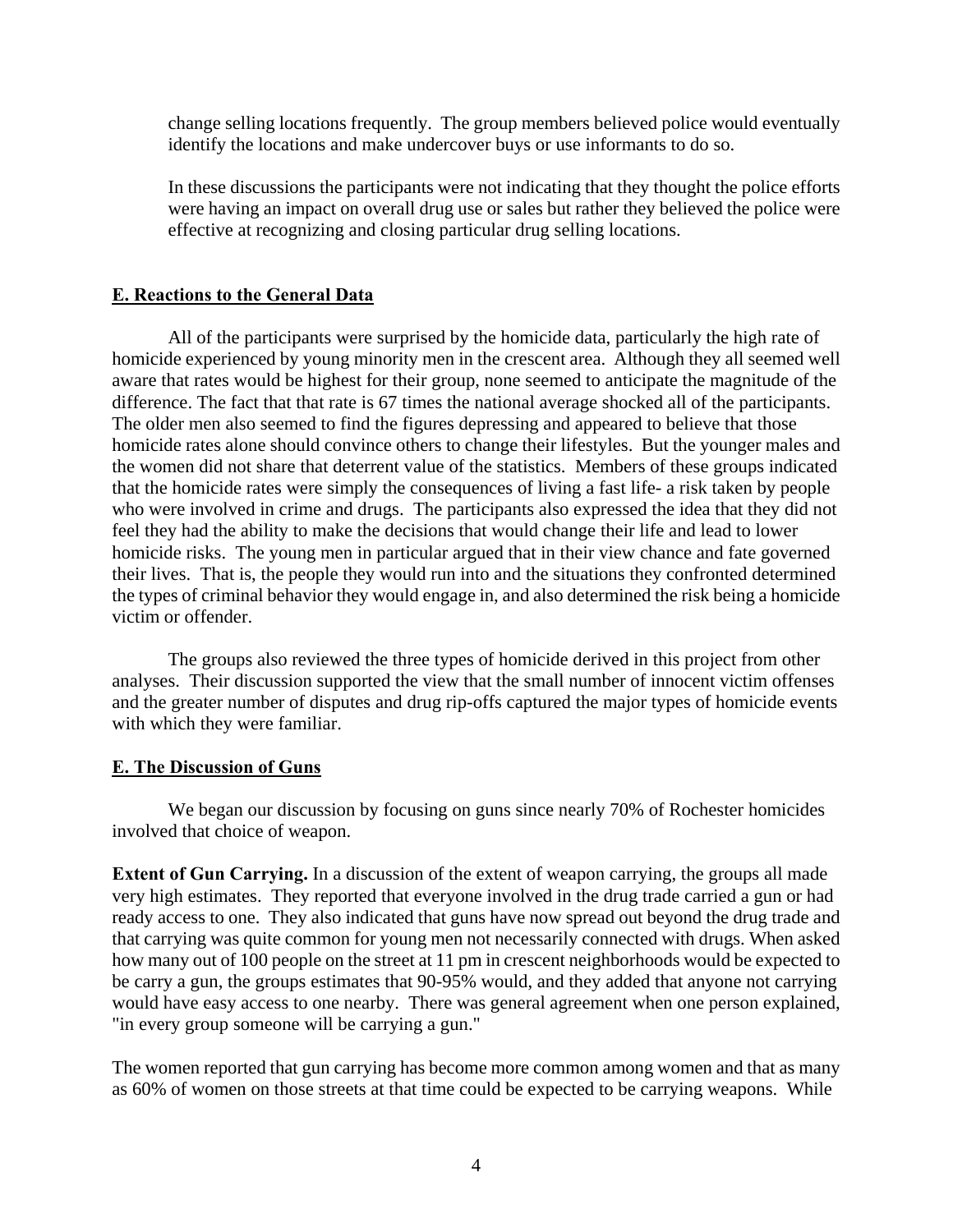change selling locations frequently. The group members believed police would eventually identify the locations and make undercover buys or use informants to do so.

In these discussions the participants were not indicating that they thought the police efforts were having an impact on overall drug use or sales but rather they believed the police were effective at recognizing and closing particular drug selling locations.

## **E. Reactions to the General Data**

All of the participants were surprised by the homicide data, particularly the high rate of homicide experienced by young minority men in the crescent area. Although they all seemed well aware that rates would be highest for their group, none seemed to anticipate the magnitude of the difference. The fact that that rate is 67 times the national average shocked all of the participants. The older men also seemed to find the figures depressing and appeared to believe that those homicide rates alone should convince others to change their lifestyles. But the younger males and the women did not share that deterrent value of the statistics. Members of these groups indicated that the homicide rates were simply the consequences of living a fast life- a risk taken by people who were involved in crime and drugs. The participants also expressed the idea that they did not feel they had the ability to make the decisions that would change their life and lead to lower homicide risks. The young men in particular argued that in their view chance and fate governed their lives. That is, the people they would run into and the situations they confronted determined the types of criminal behavior they would engage in, and also determined the risk being a homicide victim or offender.

 The groups also reviewed the three types of homicide derived in this project from other analyses. Their discussion supported the view that the small number of innocent victim offenses and the greater number of disputes and drug rip-offs captured the major types of homicide events with which they were familiar.

#### **E. The Discussion of Guns**

 We began our discussion by focusing on guns since nearly 70% of Rochester homicides involved that choice of weapon.

**Extent of Gun Carrying.** In a discussion of the extent of weapon carrying, the groups all made very high estimates. They reported that everyone involved in the drug trade carried a gun or had ready access to one. They also indicated that guns have now spread out beyond the drug trade and that carrying was quite common for young men not necessarily connected with drugs. When asked how many out of 100 people on the street at 11 pm in crescent neighborhoods would be expected to be carry a gun, the groups estimates that 90-95% would, and they added that anyone not carrying would have easy access to one nearby. There was general agreement when one person explained, "in every group someone will be carrying a gun."

The women reported that gun carrying has become more common among women and that as many as 60% of women on those streets at that time could be expected to be carrying weapons. While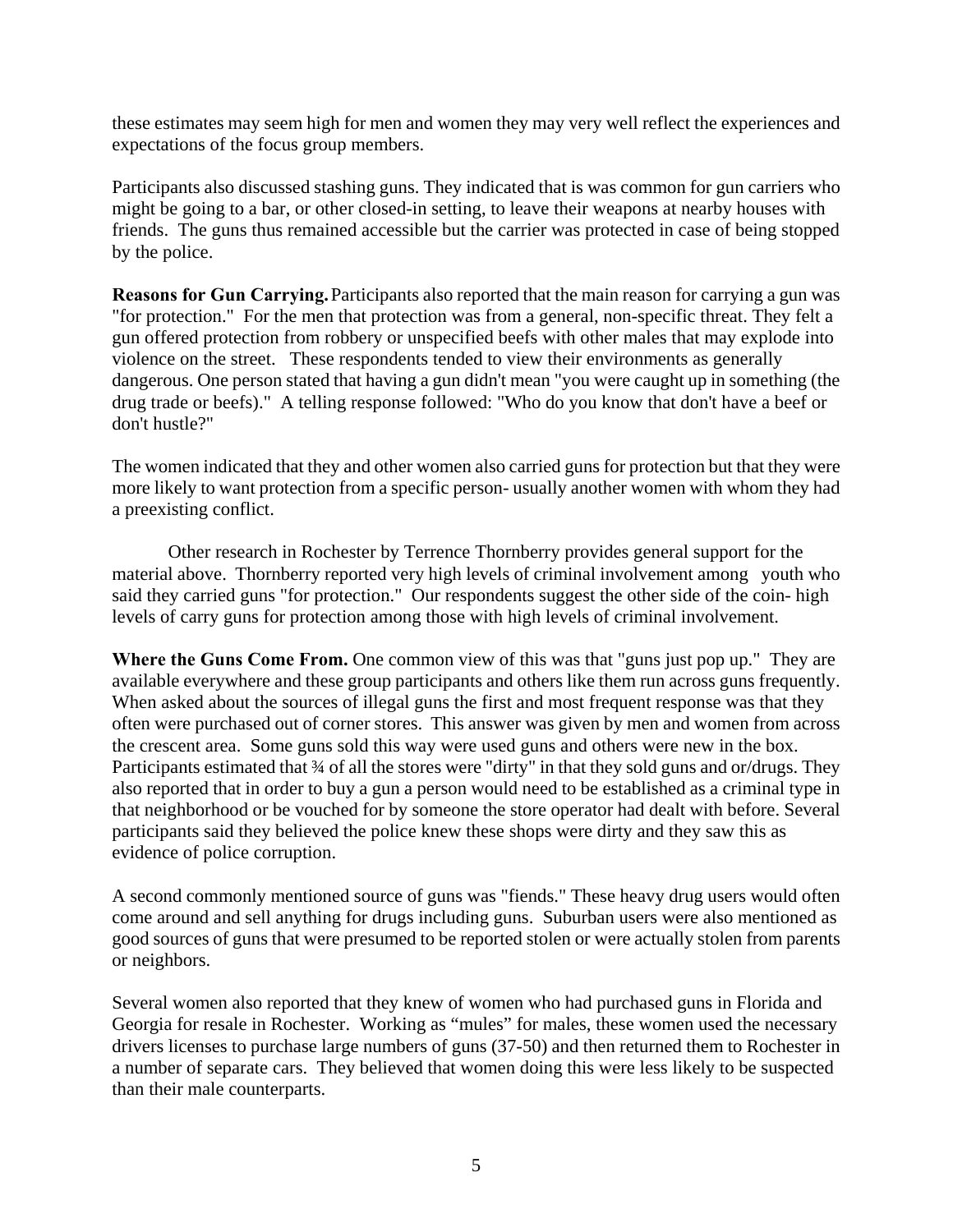these estimates may seem high for men and women they may very well reflect the experiences and expectations of the focus group members.

Participants also discussed stashing guns. They indicated that is was common for gun carriers who might be going to a bar, or other closed-in setting, to leave their weapons at nearby houses with friends. The guns thus remained accessible but the carrier was protected in case of being stopped by the police.

**Reasons for Gun Carrying.** Participants also reported that the main reason for carrying a gun was "for protection." For the men that protection was from a general, non-specific threat. They felt a gun offered protection from robbery or unspecified beefs with other males that may explode into violence on the street. These respondents tended to view their environments as generally dangerous. One person stated that having a gun didn't mean "you were caught up in something (the drug trade or beefs)." A telling response followed: "Who do you know that don't have a beef or don't hustle?"

The women indicated that they and other women also carried guns for protection but that they were more likely to want protection from a specific person- usually another women with whom they had a preexisting conflict.

 Other research in Rochester by Terrence Thornberry provides general support for the material above. Thornberry reported very high levels of criminal involvement among youth who said they carried guns "for protection." Our respondents suggest the other side of the coin- high levels of carry guns for protection among those with high levels of criminal involvement.

**Where the Guns Come From.** One common view of this was that "guns just pop up." They are available everywhere and these group participants and others like them run across guns frequently. When asked about the sources of illegal guns the first and most frequent response was that they often were purchased out of corner stores. This answer was given by men and women from across the crescent area. Some guns sold this way were used guns and others were new in the box. Participants estimated that  $\frac{3}{4}$  of all the stores were "dirty" in that they sold guns and or/drugs. They also reported that in order to buy a gun a person would need to be established as a criminal type in that neighborhood or be vouched for by someone the store operator had dealt with before. Several participants said they believed the police knew these shops were dirty and they saw this as evidence of police corruption.

A second commonly mentioned source of guns was "fiends." These heavy drug users would often come around and sell anything for drugs including guns. Suburban users were also mentioned as good sources of guns that were presumed to be reported stolen or were actually stolen from parents or neighbors.

Several women also reported that they knew of women who had purchased guns in Florida and Georgia for resale in Rochester. Working as "mules" for males, these women used the necessary drivers licenses to purchase large numbers of guns (37-50) and then returned them to Rochester in a number of separate cars. They believed that women doing this were less likely to be suspected than their male counterparts.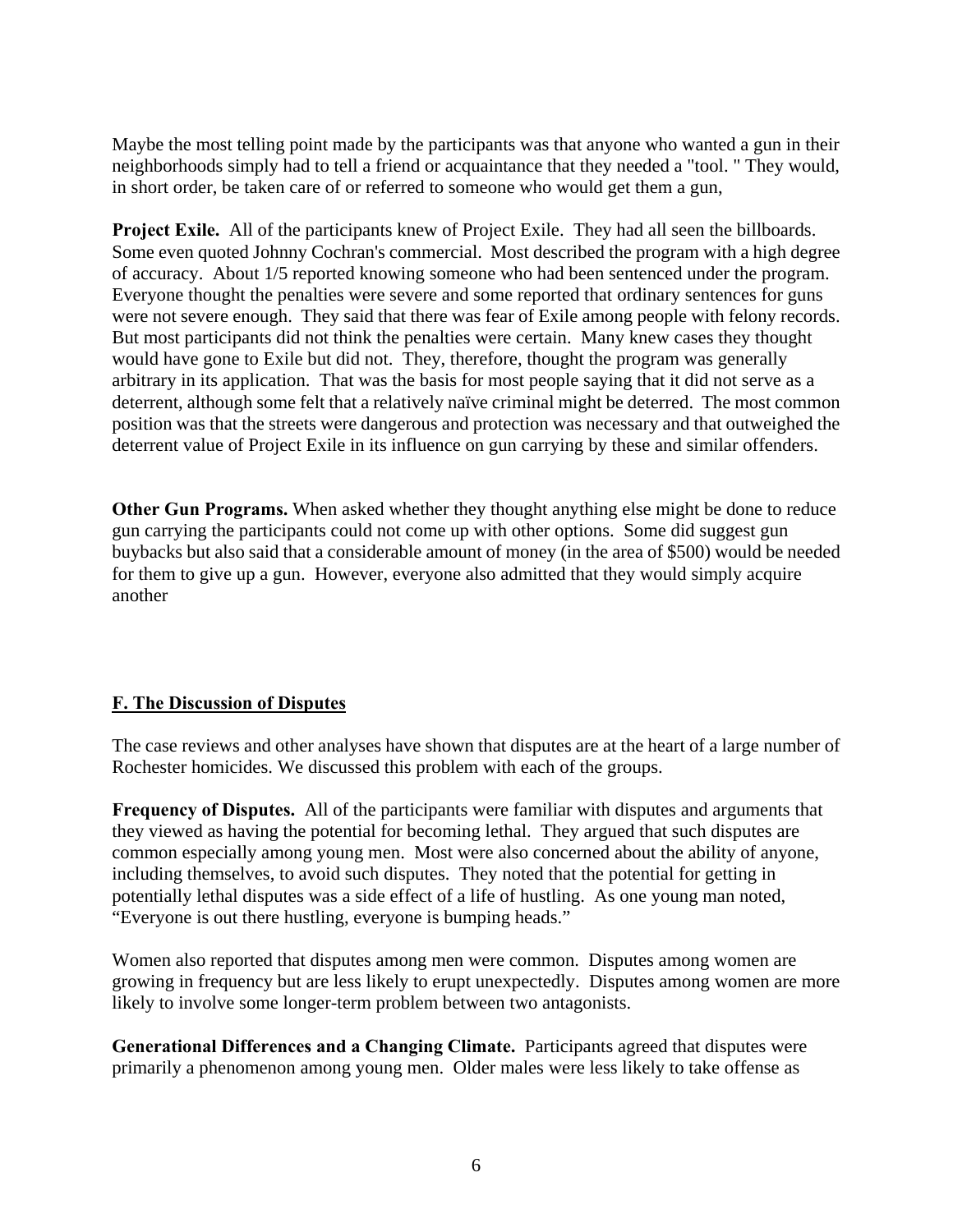Maybe the most telling point made by the participants was that anyone who wanted a gun in their neighborhoods simply had to tell a friend or acquaintance that they needed a "tool. " They would, in short order, be taken care of or referred to someone who would get them a gun,

**Project Exile.** All of the participants knew of Project Exile. They had all seen the billboards. Some even quoted Johnny Cochran's commercial. Most described the program with a high degree of accuracy. About 1/5 reported knowing someone who had been sentenced under the program. Everyone thought the penalties were severe and some reported that ordinary sentences for guns were not severe enough. They said that there was fear of Exile among people with felony records. But most participants did not think the penalties were certain. Many knew cases they thought would have gone to Exile but did not. They, therefore, thought the program was generally arbitrary in its application. That was the basis for most people saying that it did not serve as a deterrent, although some felt that a relatively naïve criminal might be deterred. The most common position was that the streets were dangerous and protection was necessary and that outweighed the deterrent value of Project Exile in its influence on gun carrying by these and similar offenders.

**Other Gun Programs.** When asked whether they thought anything else might be done to reduce gun carrying the participants could not come up with other options. Some did suggest gun buybacks but also said that a considerable amount of money (in the area of \$500) would be needed for them to give up a gun. However, everyone also admitted that they would simply acquire another

# **F. The Discussion of Disputes**

The case reviews and other analyses have shown that disputes are at the heart of a large number of Rochester homicides. We discussed this problem with each of the groups.

**Frequency of Disputes.** All of the participants were familiar with disputes and arguments that they viewed as having the potential for becoming lethal. They argued that such disputes are common especially among young men. Most were also concerned about the ability of anyone, including themselves, to avoid such disputes. They noted that the potential for getting in potentially lethal disputes was a side effect of a life of hustling. As one young man noted, "Everyone is out there hustling, everyone is bumping heads."

Women also reported that disputes among men were common. Disputes among women are growing in frequency but are less likely to erupt unexpectedly. Disputes among women are more likely to involve some longer-term problem between two antagonists.

**Generational Differences and a Changing Climate.** Participants agreed that disputes were primarily a phenomenon among young men. Older males were less likely to take offense as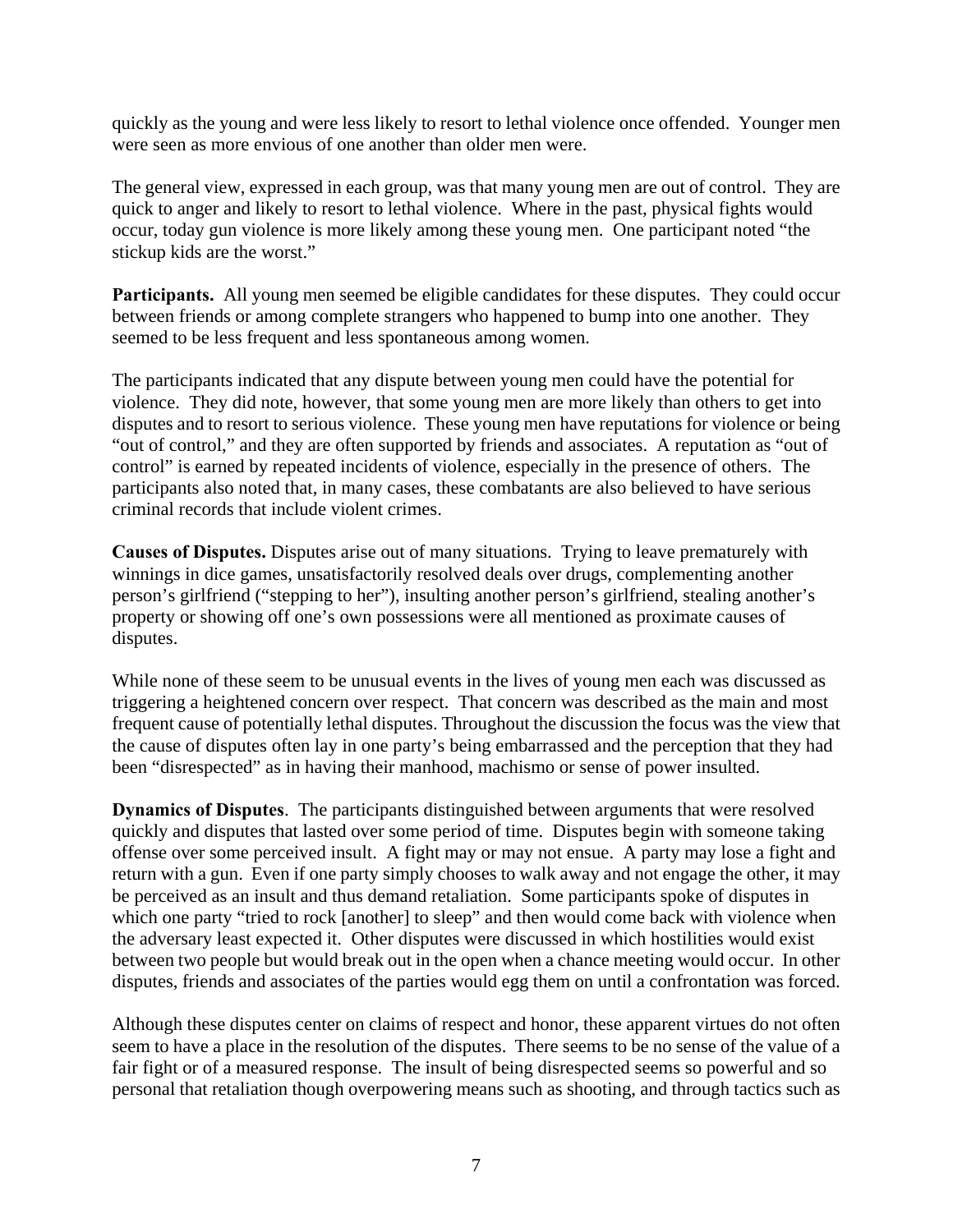quickly as the young and were less likely to resort to lethal violence once offended. Younger men were seen as more envious of one another than older men were.

The general view, expressed in each group, was that many young men are out of control. They are quick to anger and likely to resort to lethal violence. Where in the past, physical fights would occur, today gun violence is more likely among these young men. One participant noted "the stickup kids are the worst."

**Participants.** All young men seemed be eligible candidates for these disputes. They could occur between friends or among complete strangers who happened to bump into one another. They seemed to be less frequent and less spontaneous among women.

The participants indicated that any dispute between young men could have the potential for violence. They did note, however, that some young men are more likely than others to get into disputes and to resort to serious violence. These young men have reputations for violence or being "out of control," and they are often supported by friends and associates. A reputation as "out of control" is earned by repeated incidents of violence, especially in the presence of others. The participants also noted that, in many cases, these combatants are also believed to have serious criminal records that include violent crimes.

**Causes of Disputes.** Disputes arise out of many situations. Trying to leave prematurely with winnings in dice games, unsatisfactorily resolved deals over drugs, complementing another person's girlfriend ("stepping to her"), insulting another person's girlfriend, stealing another's property or showing off one's own possessions were all mentioned as proximate causes of disputes.

While none of these seem to be unusual events in the lives of young men each was discussed as triggering a heightened concern over respect. That concern was described as the main and most frequent cause of potentially lethal disputes. Throughout the discussion the focus was the view that the cause of disputes often lay in one party's being embarrassed and the perception that they had been "disrespected" as in having their manhood, machismo or sense of power insulted.

**Dynamics of Disputes**. The participants distinguished between arguments that were resolved quickly and disputes that lasted over some period of time. Disputes begin with someone taking offense over some perceived insult. A fight may or may not ensue. A party may lose a fight and return with a gun. Even if one party simply chooses to walk away and not engage the other, it may be perceived as an insult and thus demand retaliation. Some participants spoke of disputes in which one party "tried to rock [another] to sleep" and then would come back with violence when the adversary least expected it. Other disputes were discussed in which hostilities would exist between two people but would break out in the open when a chance meeting would occur. In other disputes, friends and associates of the parties would egg them on until a confrontation was forced.

Although these disputes center on claims of respect and honor, these apparent virtues do not often seem to have a place in the resolution of the disputes. There seems to be no sense of the value of a fair fight or of a measured response. The insult of being disrespected seems so powerful and so personal that retaliation though overpowering means such as shooting, and through tactics such as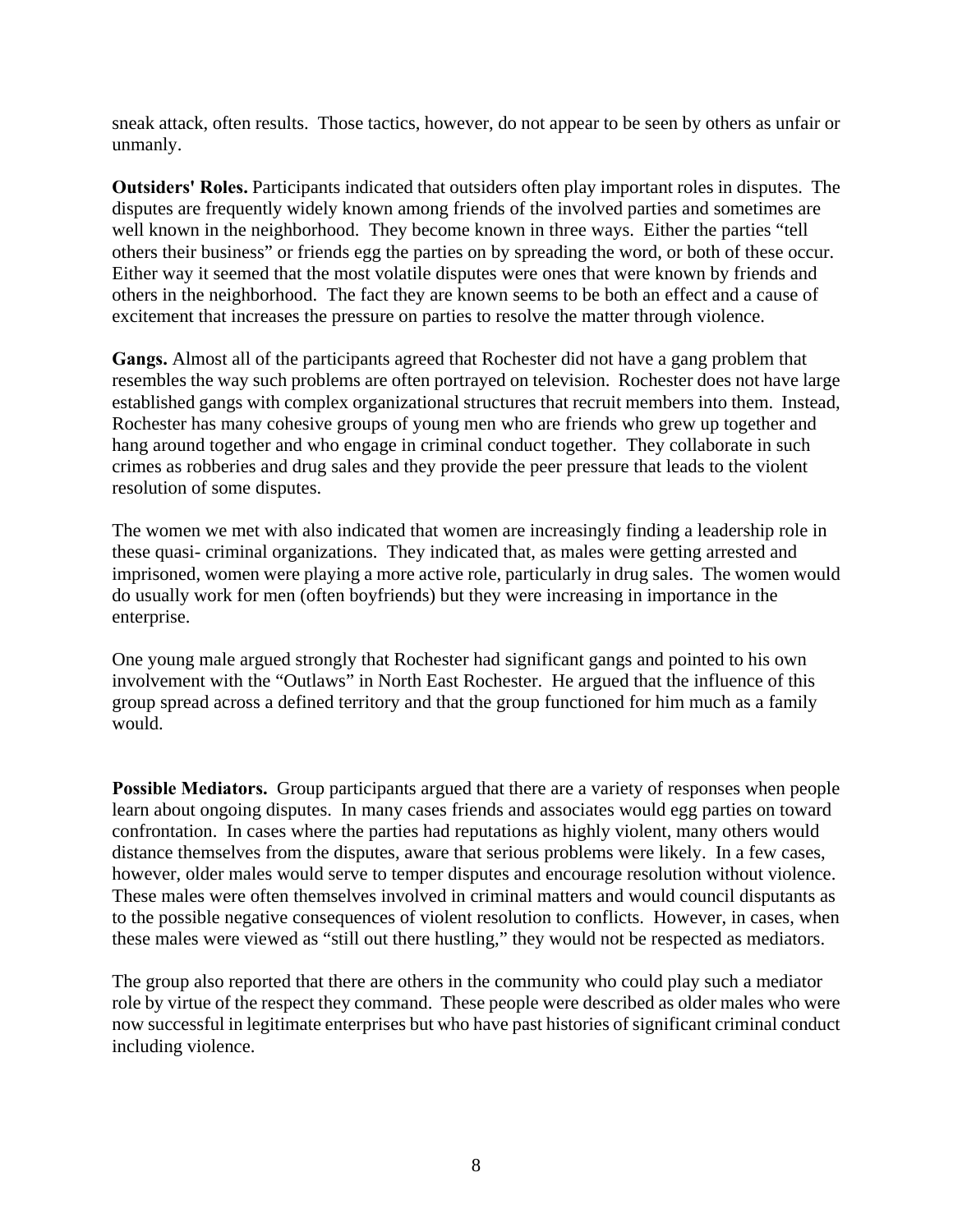sneak attack, often results. Those tactics, however, do not appear to be seen by others as unfair or unmanly.

**Outsiders' Roles.** Participants indicated that outsiders often play important roles in disputes. The disputes are frequently widely known among friends of the involved parties and sometimes are well known in the neighborhood. They become known in three ways. Either the parties "tell others their business" or friends egg the parties on by spreading the word, or both of these occur. Either way it seemed that the most volatile disputes were ones that were known by friends and others in the neighborhood. The fact they are known seems to be both an effect and a cause of excitement that increases the pressure on parties to resolve the matter through violence.

**Gangs.** Almost all of the participants agreed that Rochester did not have a gang problem that resembles the way such problems are often portrayed on television. Rochester does not have large established gangs with complex organizational structures that recruit members into them. Instead, Rochester has many cohesive groups of young men who are friends who grew up together and hang around together and who engage in criminal conduct together. They collaborate in such crimes as robberies and drug sales and they provide the peer pressure that leads to the violent resolution of some disputes.

The women we met with also indicated that women are increasingly finding a leadership role in these quasi- criminal organizations. They indicated that, as males were getting arrested and imprisoned, women were playing a more active role, particularly in drug sales. The women would do usually work for men (often boyfriends) but they were increasing in importance in the enterprise.

One young male argued strongly that Rochester had significant gangs and pointed to his own involvement with the "Outlaws" in North East Rochester. He argued that the influence of this group spread across a defined territory and that the group functioned for him much as a family would.

**Possible Mediators.** Group participants argued that there are a variety of responses when people learn about ongoing disputes. In many cases friends and associates would egg parties on toward confrontation. In cases where the parties had reputations as highly violent, many others would distance themselves from the disputes, aware that serious problems were likely. In a few cases, however, older males would serve to temper disputes and encourage resolution without violence. These males were often themselves involved in criminal matters and would council disputants as to the possible negative consequences of violent resolution to conflicts. However, in cases, when these males were viewed as "still out there hustling," they would not be respected as mediators.

The group also reported that there are others in the community who could play such a mediator role by virtue of the respect they command. These people were described as older males who were now successful in legitimate enterprises but who have past histories of significant criminal conduct including violence.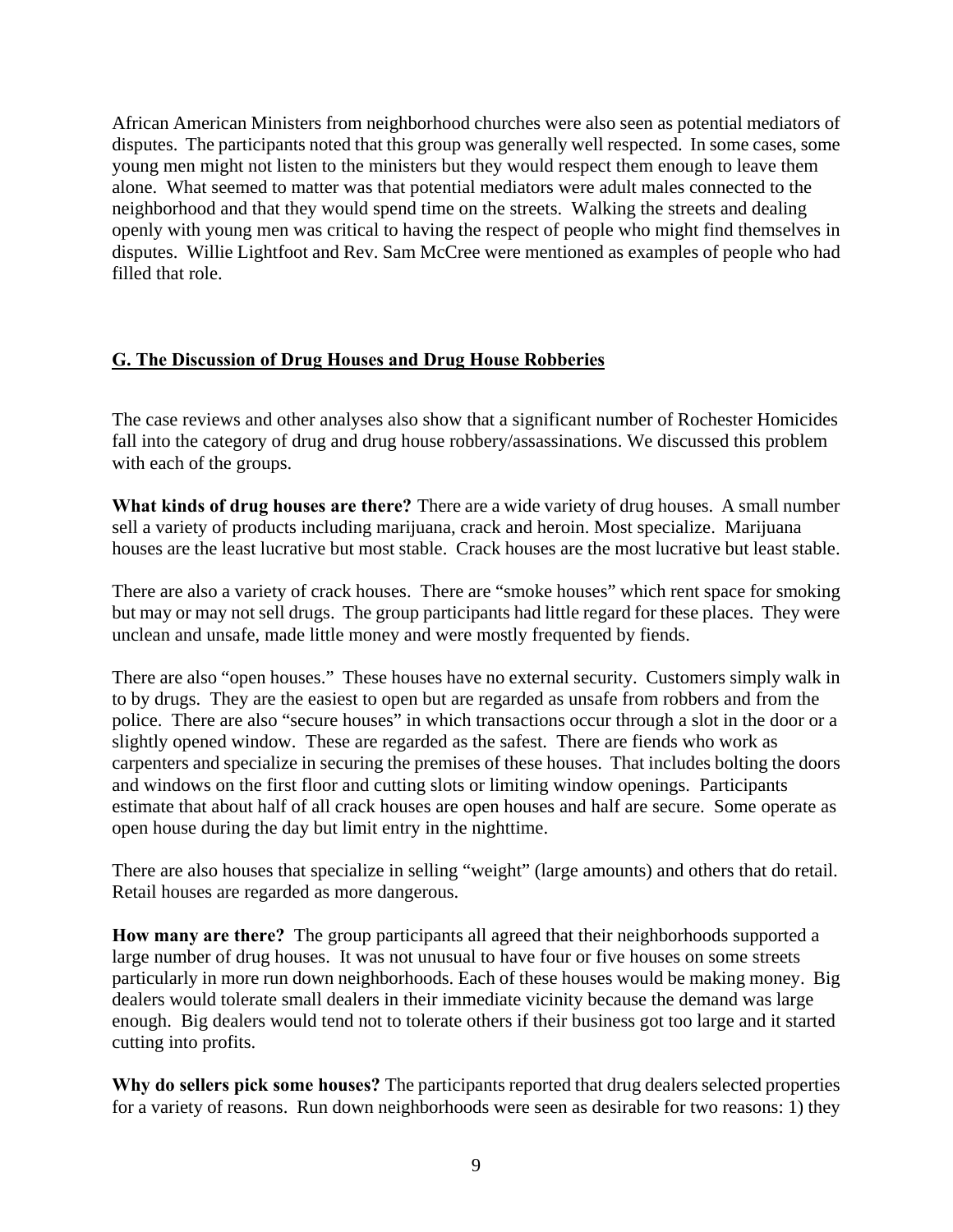African American Ministers from neighborhood churches were also seen as potential mediators of disputes. The participants noted that this group was generally well respected. In some cases, some young men might not listen to the ministers but they would respect them enough to leave them alone. What seemed to matter was that potential mediators were adult males connected to the neighborhood and that they would spend time on the streets. Walking the streets and dealing openly with young men was critical to having the respect of people who might find themselves in disputes. Willie Lightfoot and Rev. Sam McCree were mentioned as examples of people who had filled that role.

# **G. The Discussion of Drug Houses and Drug House Robberies**

The case reviews and other analyses also show that a significant number of Rochester Homicides fall into the category of drug and drug house robbery/assassinations. We discussed this problem with each of the groups.

**What kinds of drug houses are there?** There are a wide variety of drug houses. A small number sell a variety of products including marijuana, crack and heroin. Most specialize. Marijuana houses are the least lucrative but most stable. Crack houses are the most lucrative but least stable.

There are also a variety of crack houses. There are "smoke houses" which rent space for smoking but may or may not sell drugs. The group participants had little regard for these places. They were unclean and unsafe, made little money and were mostly frequented by fiends.

There are also "open houses." These houses have no external security. Customers simply walk in to by drugs. They are the easiest to open but are regarded as unsafe from robbers and from the police. There are also "secure houses" in which transactions occur through a slot in the door or a slightly opened window. These are regarded as the safest. There are fiends who work as carpenters and specialize in securing the premises of these houses. That includes bolting the doors and windows on the first floor and cutting slots or limiting window openings. Participants estimate that about half of all crack houses are open houses and half are secure. Some operate as open house during the day but limit entry in the nighttime.

There are also houses that specialize in selling "weight" (large amounts) and others that do retail. Retail houses are regarded as more dangerous.

**How many are there?** The group participants all agreed that their neighborhoods supported a large number of drug houses. It was not unusual to have four or five houses on some streets particularly in more run down neighborhoods. Each of these houses would be making money. Big dealers would tolerate small dealers in their immediate vicinity because the demand was large enough. Big dealers would tend not to tolerate others if their business got too large and it started cutting into profits.

**Why do sellers pick some houses?** The participants reported that drug dealers selected properties for a variety of reasons. Run down neighborhoods were seen as desirable for two reasons: 1) they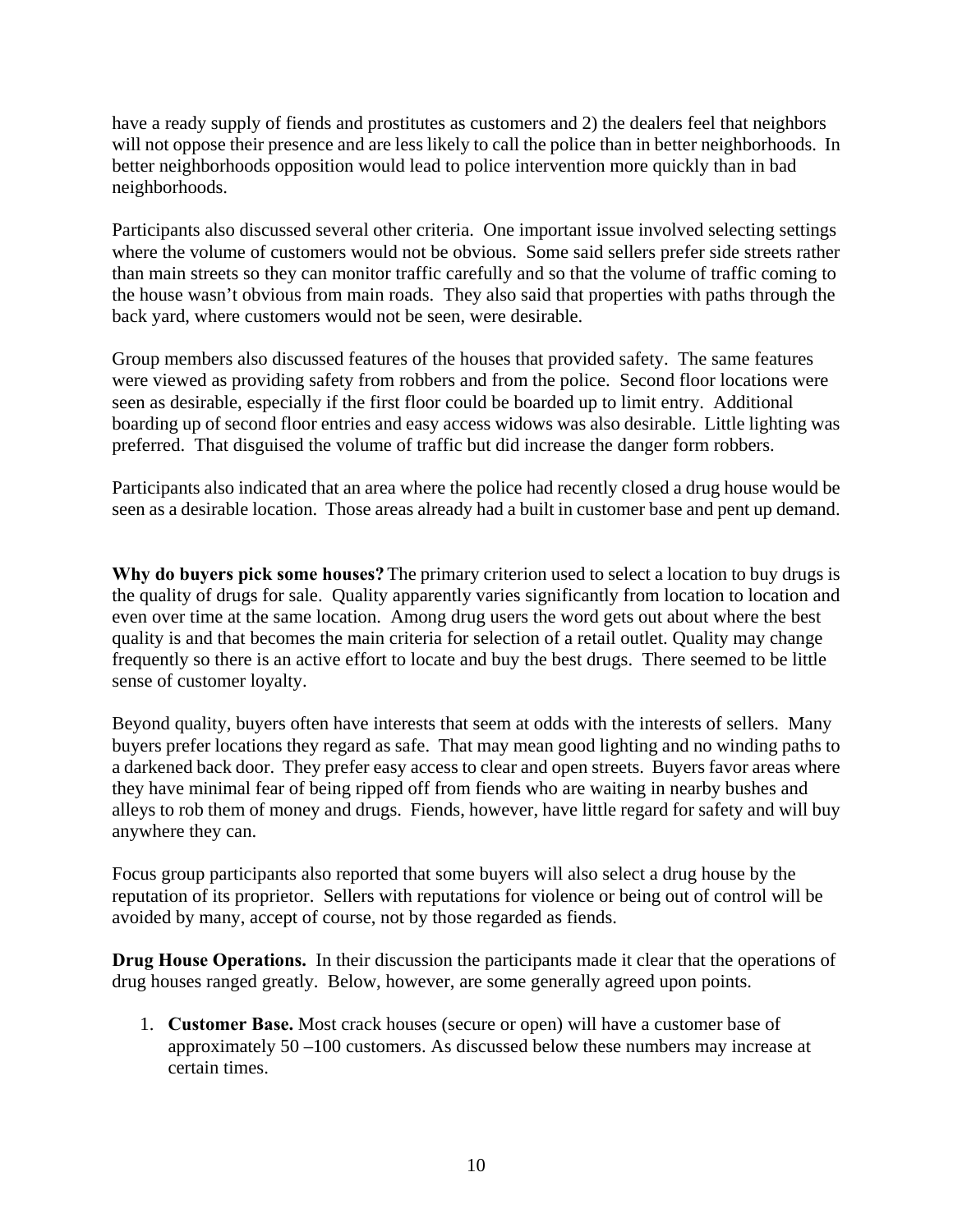have a ready supply of fiends and prostitutes as customers and 2) the dealers feel that neighbors will not oppose their presence and are less likely to call the police than in better neighborhoods. In better neighborhoods opposition would lead to police intervention more quickly than in bad neighborhoods.

Participants also discussed several other criteria. One important issue involved selecting settings where the volume of customers would not be obvious. Some said sellers prefer side streets rather than main streets so they can monitor traffic carefully and so that the volume of traffic coming to the house wasn't obvious from main roads. They also said that properties with paths through the back yard, where customers would not be seen, were desirable.

Group members also discussed features of the houses that provided safety. The same features were viewed as providing safety from robbers and from the police. Second floor locations were seen as desirable, especially if the first floor could be boarded up to limit entry. Additional boarding up of second floor entries and easy access widows was also desirable. Little lighting was preferred. That disguised the volume of traffic but did increase the danger form robbers.

Participants also indicated that an area where the police had recently closed a drug house would be seen as a desirable location. Those areas already had a built in customer base and pent up demand.

**Why do buyers pick some houses?** The primary criterion used to select a location to buy drugs is the quality of drugs for sale. Quality apparently varies significantly from location to location and even over time at the same location. Among drug users the word gets out about where the best quality is and that becomes the main criteria for selection of a retail outlet. Quality may change frequently so there is an active effort to locate and buy the best drugs. There seemed to be little sense of customer loyalty.

Beyond quality, buyers often have interests that seem at odds with the interests of sellers. Many buyers prefer locations they regard as safe. That may mean good lighting and no winding paths to a darkened back door. They prefer easy access to clear and open streets. Buyers favor areas where they have minimal fear of being ripped off from fiends who are waiting in nearby bushes and alleys to rob them of money and drugs. Fiends, however, have little regard for safety and will buy anywhere they can.

Focus group participants also reported that some buyers will also select a drug house by the reputation of its proprietor. Sellers with reputations for violence or being out of control will be avoided by many, accept of course, not by those regarded as fiends.

**Drug House Operations.** In their discussion the participants made it clear that the operations of drug houses ranged greatly. Below, however, are some generally agreed upon points.

1. **Customer Base.** Most crack houses (secure or open) will have a customer base of approximately 50 –100 customers. As discussed below these numbers may increase at certain times.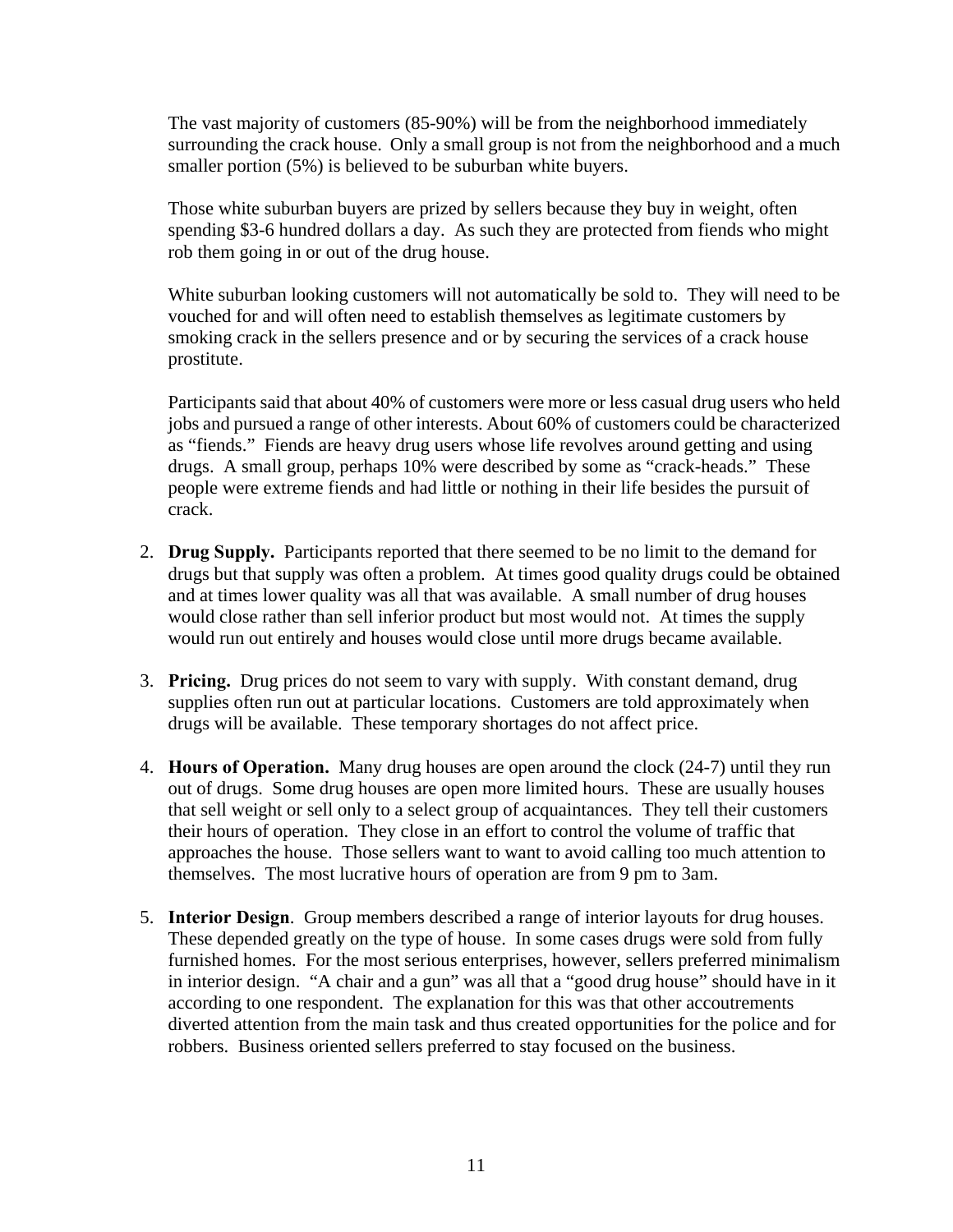The vast majority of customers (85-90%) will be from the neighborhood immediately surrounding the crack house. Only a small group is not from the neighborhood and a much smaller portion (5%) is believed to be suburban white buyers.

Those white suburban buyers are prized by sellers because they buy in weight, often spending \$3-6 hundred dollars a day. As such they are protected from fiends who might rob them going in or out of the drug house.

White suburban looking customers will not automatically be sold to. They will need to be vouched for and will often need to establish themselves as legitimate customers by smoking crack in the sellers presence and or by securing the services of a crack house prostitute.

Participants said that about 40% of customers were more or less casual drug users who held jobs and pursued a range of other interests. About 60% of customers could be characterized as "fiends." Fiends are heavy drug users whose life revolves around getting and using drugs. A small group, perhaps 10% were described by some as "crack-heads." These people were extreme fiends and had little or nothing in their life besides the pursuit of crack.

- 2. **Drug Supply.** Participants reported that there seemed to be no limit to the demand for drugs but that supply was often a problem. At times good quality drugs could be obtained and at times lower quality was all that was available. A small number of drug houses would close rather than sell inferior product but most would not. At times the supply would run out entirely and houses would close until more drugs became available.
- 3. **Pricing.** Drug prices do not seem to vary with supply. With constant demand, drug supplies often run out at particular locations. Customers are told approximately when drugs will be available. These temporary shortages do not affect price.
- 4. **Hours of Operation.** Many drug houses are open around the clock (24-7) until they run out of drugs. Some drug houses are open more limited hours. These are usually houses that sell weight or sell only to a select group of acquaintances. They tell their customers their hours of operation. They close in an effort to control the volume of traffic that approaches the house. Those sellers want to want to avoid calling too much attention to themselves. The most lucrative hours of operation are from 9 pm to 3am.
- 5. **Interior Design**. Group members described a range of interior layouts for drug houses. These depended greatly on the type of house. In some cases drugs were sold from fully furnished homes. For the most serious enterprises, however, sellers preferred minimalism in interior design. "A chair and a gun" was all that a "good drug house" should have in it according to one respondent. The explanation for this was that other accoutrements diverted attention from the main task and thus created opportunities for the police and for robbers. Business oriented sellers preferred to stay focused on the business.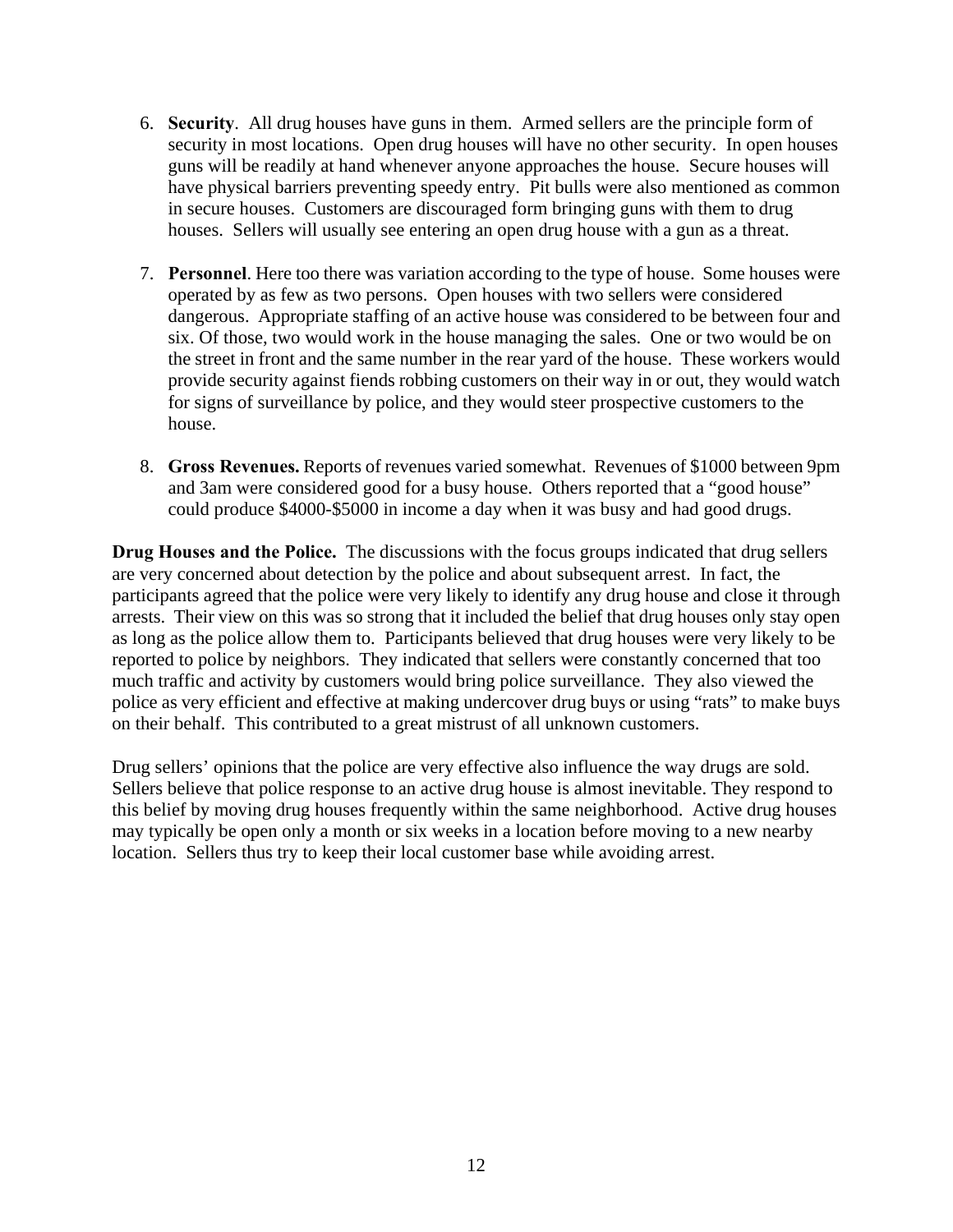- 6. **Security**. All drug houses have guns in them. Armed sellers are the principle form of security in most locations. Open drug houses will have no other security. In open houses guns will be readily at hand whenever anyone approaches the house. Secure houses will have physical barriers preventing speedy entry. Pit bulls were also mentioned as common in secure houses. Customers are discouraged form bringing guns with them to drug houses. Sellers will usually see entering an open drug house with a gun as a threat.
- 7. **Personnel**. Here too there was variation according to the type of house. Some houses were operated by as few as two persons. Open houses with two sellers were considered dangerous. Appropriate staffing of an active house was considered to be between four and six. Of those, two would work in the house managing the sales. One or two would be on the street in front and the same number in the rear yard of the house. These workers would provide security against fiends robbing customers on their way in or out, they would watch for signs of surveillance by police, and they would steer prospective customers to the house.
- 8. **Gross Revenues.** Reports of revenues varied somewhat. Revenues of \$1000 between 9pm and 3am were considered good for a busy house. Others reported that a "good house" could produce \$4000-\$5000 in income a day when it was busy and had good drugs.

**Drug Houses and the Police.** The discussions with the focus groups indicated that drug sellers are very concerned about detection by the police and about subsequent arrest. In fact, the participants agreed that the police were very likely to identify any drug house and close it through arrests. Their view on this was so strong that it included the belief that drug houses only stay open as long as the police allow them to.Participants believed that drug houses were very likely to be reported to police by neighbors. They indicated that sellers were constantly concerned that too much traffic and activity by customers would bring police surveillance. They also viewed the police as very efficient and effective at making undercover drug buys or using "rats" to make buys on their behalf. This contributed to a great mistrust of all unknown customers.

Drug sellers' opinions that the police are very effective also influence the way drugs are sold. Sellers believe that police response to an active drug house is almost inevitable. They respond to this belief by moving drug houses frequently within the same neighborhood. Active drug houses may typically be open only a month or six weeks in a location before moving to a new nearby location. Sellers thus try to keep their local customer base while avoiding arrest.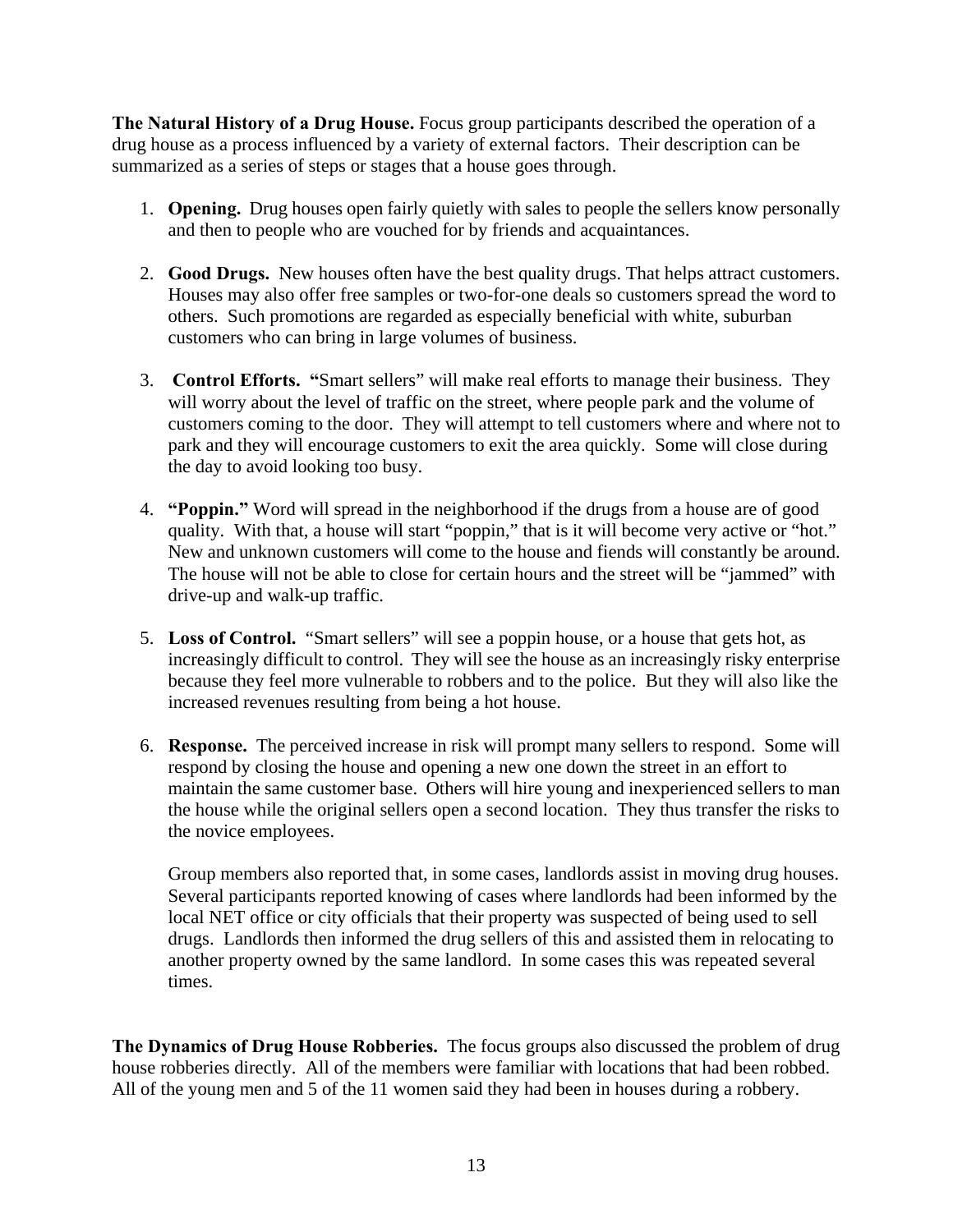**The Natural History of a Drug House.** Focus group participants described the operation of a drug house as a process influenced by a variety of external factors. Their description can be summarized as a series of steps or stages that a house goes through.

- 1. **Opening.** Drug houses open fairly quietly with sales to people the sellers know personally and then to people who are vouched for by friends and acquaintances.
- 2. **Good Drugs.** New houses often have the best quality drugs. That helps attract customers. Houses may also offer free samples or two-for-one deals so customers spread the word to others. Such promotions are regarded as especially beneficial with white, suburban customers who can bring in large volumes of business.
- 3. **Control Efforts. "**Smart sellers" will make real efforts to manage their business. They will worry about the level of traffic on the street, where people park and the volume of customers coming to the door. They will attempt to tell customers where and where not to park and they will encourage customers to exit the area quickly. Some will close during the day to avoid looking too busy.
- 4. **"Poppin."** Word will spread in the neighborhood if the drugs from a house are of good quality.With that, a house will start "poppin," that is it will become very active or "hot." New and unknown customers will come to the house and fiends will constantly be around. The house will not be able to close for certain hours and the street will be "jammed" with drive-up and walk-up traffic.
- 5. **Loss of Control.** "Smart sellers" will see a poppin house, or a house that gets hot, as increasingly difficult to control. They will see the house as an increasingly risky enterprise because they feel more vulnerable to robbers and to the police. But they will also like the increased revenues resulting from being a hot house.
- 6. **Response.** The perceived increase in risk will prompt many sellers to respond. Some will respond by closing the house and opening a new one down the street in an effort to maintain the same customer base. Others will hire young and inexperienced sellers to man the house while the original sellers open a second location. They thus transfer the risks to the novice employees.

Group members also reported that, in some cases, landlords assist in moving drug houses. Several participants reported knowing of cases where landlords had been informed by the local NET office or city officials that their property was suspected of being used to sell drugs. Landlords then informed the drug sellers of this and assisted them in relocating to another property owned by the same landlord. In some cases this was repeated several times.

**The Dynamics of Drug House Robberies.** The focus groups also discussed the problem of drug house robberies directly. All of the members were familiar with locations that had been robbed. All of the young men and 5 of the 11 women said they had been in houses during a robbery.